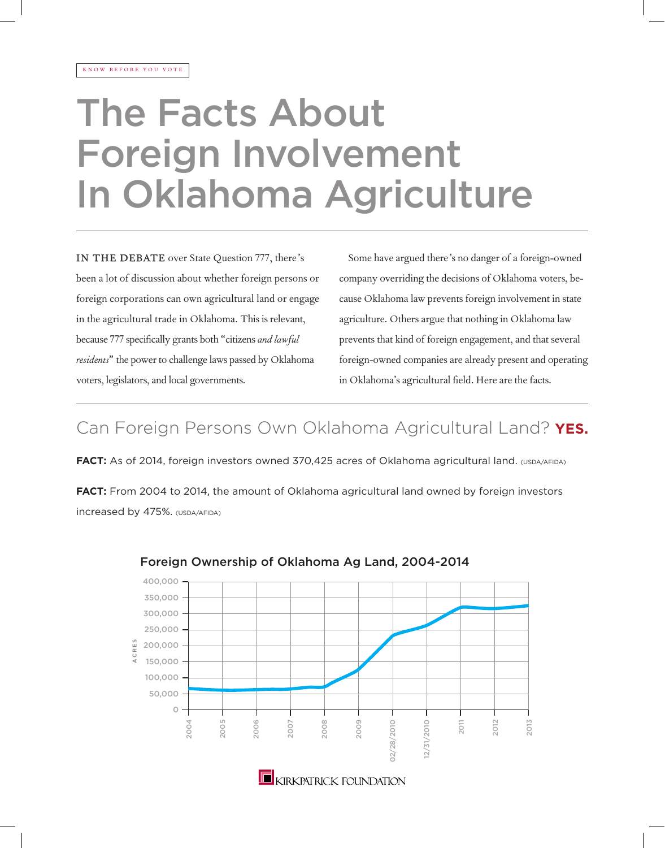# The Facts About Foreign Involvement In Oklahoma Agriculture

IN THE DEBATE over State Question 777, there's been a lot of discussion about whether foreign persons or foreign corporations can own agricultural land or engage in the agricultural trade in Oklahoma. This is relevant, because 777 specifically grants both "citizens *and lawful residents*" the power to challenge laws passed by Oklahoma voters, legislators, and local governments.

Some have argued there's no danger of a foreign-owned company overriding the decisions of Oklahoma voters, because Oklahoma law prevents foreign involvement in state agriculture. Others argue that nothing in Oklahoma law prevents that kind of foreign engagement, and that several foreign-owned companies are already present and operating in Oklahoma's agricultural field. Here are the facts.

## Can Foreign Persons Own Oklahoma Agricultural Land? **YES.**

**FACT:** As of 2014, foreign investors owned 370,425 acres of Oklahoma agricultural land. (USDA/AFIDA) **FACT:** From 2004 to 2014, the amount of Oklahoma agricultural land owned by foreign investors increased by 475%. (USDA/AFIDA)



### Foreign Ownership of Oklahoma Ag Land, 2004-2014